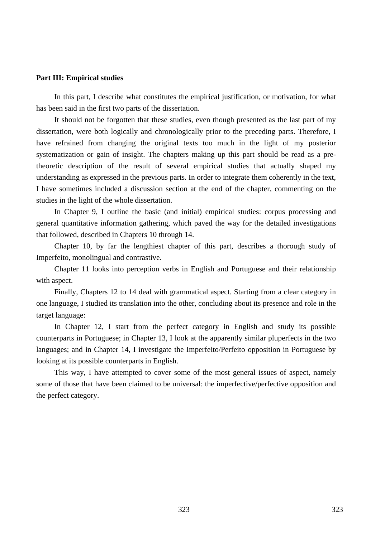### **Part III: Empirical studies**

In this part, I describe what constitutes the empirical justification, or motivation, for what has been said in the first two parts of the dissertation.

It should not be forgotten that these studies, even though presented as the last part of my dissertation, were both logically and chronologically prior to the preceding parts. Therefore, I have refrained from changing the original texts too much in the light of my posterior systematization or gain of insight. The chapters making up this part should be read as a pretheoretic description of the result of several empirical studies that actually shaped my understanding as expressed in the previous parts. In order to integrate them coherently in the text, I have sometimes included a discussion section at the end of the chapter, commenting on the studies in the light of the whole dissertation.

In Chapter 9, I outline the basic (and initial) empirical studies: corpus processing and general quantitative information gathering, which paved the way for the detailed investigations that followed, described in Chapters 10 through 14.

Chapter 10, by far the lengthiest chapter of this part, describes a thorough study of Imperfeito, monolingual and contrastive.

Chapter 11 looks into perception verbs in English and Portuguese and their relationship with aspect.

Finally, Chapters 12 to 14 deal with grammatical aspect. Starting from a clear category in one language, I studied its translation into the other, concluding about its presence and role in the target language:

In Chapter 12, I start from the perfect category in English and study its possible counterparts in Portuguese; in Chapter 13, I look at the apparently similar pluperfects in the two languages; and in Chapter 14, I investigate the Imperfeito/Perfeito opposition in Portuguese by looking at its possible counterparts in English.

This way, I have attempted to cover some of the most general issues of aspect, namely some of those that have been claimed to be universal: the imperfective/perfective opposition and the perfect category.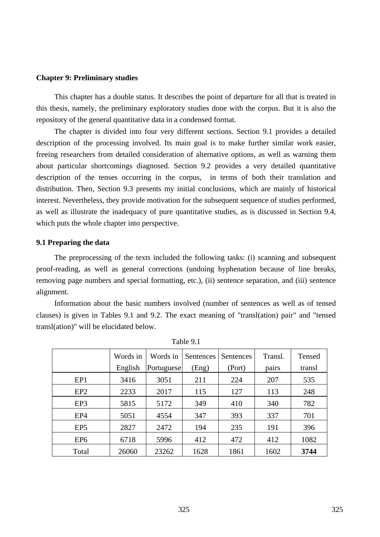### **Chapter 9: Preliminary studies**

This chapter has a double status. It describes the point of departure for all that is treated in this thesis, namely, the preliminary exploratory studies done with the corpus. But it is also the repository of the general quantitative data in a condensed format.

The chapter is divided into four very different sections. Section 9.1 provides a detailed description of the processing involved. Its main goal is to make further similar work easier, freeing researchers from detailed consideration of alternative options, as well as warning them about particular shortcomings diagnosed. Section 9.2 provides a very detailed quantitative description of the tenses occurring in the corpus, in terms of both their translation and distribution. Then, Section 9.3 presents my initial conclusions, which are mainly of historical interest. Nevertheless, they provide motivation for the subsequent sequence of studies performed, as well as illustrate the inadequacy of pure quantitative studies, as is discussed in Section 9.4, which puts the whole chapter into perspective.

### **9.1 Preparing the data**

The preprocessing of the texts included the following tasks: (i) scanning and subsequent proof-reading, as well as general corrections (undoing hyphenation because of line breaks, removing page numbers and special formatting, etc.), (ii) sentence separation, and (iii) sentence alignment.

Information about the basic numbers involved (number of sentences as well as of tensed clauses) is given in Tables 9.1 and 9.2. The exact meaning of "transl(ation) pair" and "tensed transl(ation)" will be elucidated below.

|                 | Words in | Words in   | <b>Sentences</b> | Sentences | Transl. | Tensed |
|-----------------|----------|------------|------------------|-----------|---------|--------|
|                 | English  | Portuguese | (Eng)            | (Port)    | pairs   | transl |
| EP1             | 3416     | 3051       | 211              | 224       | 207     | 535    |
| EP <sub>2</sub> | 2233     | 2017       | 115              | 127       | 113     | 248    |
| EP3             | 5815     | 5172       | 349              | 410       | 340     | 782    |
| EP <sub>4</sub> | 5051     | 4554       | 347              | 393       | 337     | 701    |
| EP <sub>5</sub> | 2827     | 2472       | 194              | 235       | 191     | 396    |
| EP <sub>6</sub> | 6718     | 5996       | 412              | 472       | 412     | 1082   |
| Total           | 26060    | 23262      | 1628             | 1861      | 1602    | 3744   |

Table 9.1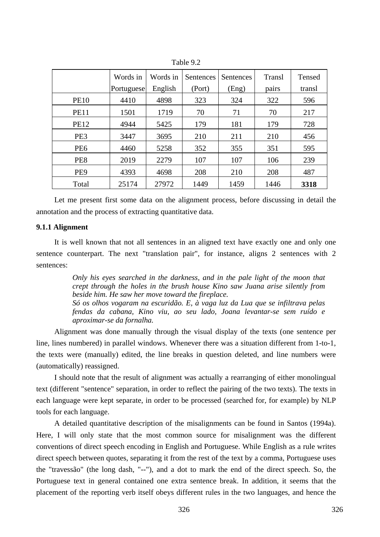|                 | Words in<br><b>Portuguese</b> | Words in<br>English | Sentences<br>(Port) | <b>Sentences</b><br>(Eng) | Transl<br>pairs | Tensed<br>transl |
|-----------------|-------------------------------|---------------------|---------------------|---------------------------|-----------------|------------------|
| <b>PE10</b>     | 4410                          | 4898                | 323                 | 324                       | 322             | 596              |
| <b>PE11</b>     | 1501                          | 1719                | 70                  | 71                        | 70              | 217              |
| <b>PE12</b>     | 4944                          | 5425                | 179                 | 181                       | 179             | 728              |
| PE <sub>3</sub> | 3447                          | 3695                | 210                 | 211                       | 210             | 456              |
| PE <sub>6</sub> | 4460                          | 5258                | 352                 | 355                       | 351             | 595              |
| PE <sub>8</sub> | 2019                          | 2279                | 107                 | 107                       | 106             | 239              |
| PE <sub>9</sub> | 4393                          | 4698                | 208                 | 210                       | 208             | 487              |
| Total           | 25174                         | 27972               | 1449                | 1459                      | 1446            | 3318             |

Table 9.2

Let me present first some data on the alignment process, before discussing in detail the annotation and the process of extracting quantitative data.

# **9.1.1 Alignment**

It is well known that not all sentences in an aligned text have exactly one and only one sentence counterpart. The next "translation pair", for instance, aligns 2 sentences with 2 sentences:

> *Only his eyes searched in the darkness, and in the pale light of the moon that crept through the holes in the brush house Kino saw Juana arise silently from beside him. He saw her move toward the fireplace. Só os olhos vogaram na escuridão. E, à vaga luz da Lua que se infiltrava pelas fendas da cabana, Kino viu, ao seu lado, Joana levantar-se sem ruído e aproximar-se da fornalha.*

Alignment was done manually through the visual display of the texts (one sentence per line, lines numbered) in parallel windows. Whenever there was a situation different from 1-to-1, the texts were (manually) edited, the line breaks in question deleted, and line numbers were (automatically) reassigned.

I should note that the result of alignment was actually a rearranging of either monolingual text (different "sentence" separation, in order to reflect the pairing of the two texts). The texts in each language were kept separate, in order to be processed (searched for, for example) by NLP tools for each language.

A detailed quantitative description of the misalignments can be found in Santos (1994a). Here, I will only state that the most common source for misalignment was the different conventions of direct speech encoding in English and Portuguese. While English as a rule writes direct speech between quotes, separating it from the rest of the text by a comma, Portuguese uses the "travessão" (the long dash, "--"), and a dot to mark the end of the direct speech. So, the Portuguese text in general contained one extra sentence break. In addition, it seems that the placement of the reporting verb itself obeys different rules in the two languages, and hence the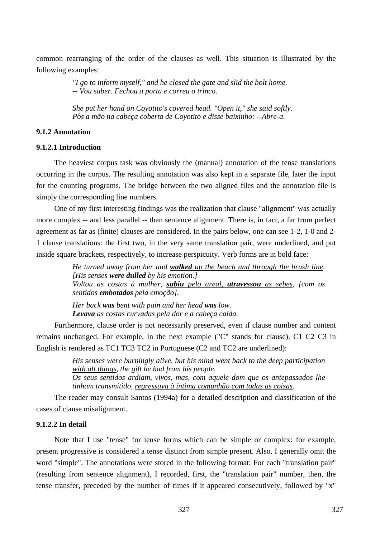common rearranging of the order of the clauses as well. This situation is illustrated by the following examples:

> *"I go to inform myself," and he closed the gate and slid the bolt home. -- Vou saber. Fechou a porta e correu o trinco.*

*She put her hand on Coyotito's covered head. "Open it," she said softly. Pôs a mão na cabeça coberta de Coyotito e disse baixinho: --Abre-a.* 

# **9.1.2 Annotation**

### **9.1.2.1 Introduction**

The heaviest corpus task was obviously the (manual) annotation of the tense translations occurring in the corpus. The resulting annotation was also kept in a separate file, later the input for the counting programs. The bridge between the two aligned files and the annotation file is simply the corresponding line numbers.

One of my first interesting findings was the realization that clause "alignment" was actually more complex -- and less parallel -- than sentence alignment. There is, in fact, a far from perfect agreement as far as (finite) clauses are considered. In the pairs below, one can see 1-2, 1-0 and 2- 1 clause translations: the first two, in the very same translation pair, were underlined, and put inside square brackets, respectively, to increase perspicuity. Verb forms are in bold face:

> *He turned away from her and walked up the beach and through the brush line. [His senses were dulled by his emotion.] Voltou as costas à mulher, subiu pelo areal, atravessou as sebes, [com os sentidos embotados pela emoção].*

*Her back was bent with pain and her head was low. Levava as costas curvadas pela dor e a cabeça caída.* 

Furthermore, clause order is not necessarily preserved, even if clause number and content remains unchanged. For example, in the next example ("C" stands for clause), C1 C2 C3 in English is rendered as TC1 TC3 TC2 in Portuguese (C2 and TC2 are underlined):

> *His senses were burningly alive, but his mind went back to the deep participation with all things, the gift he had from his people. Os seus sentidos ardiam, vivos, mas, com aquele dom que os antepassados lhe*

*tinham transmitido, regressava à íntima comunhão com todas as coisas.* 

The reader may consult Santos (1994a) for a detailed description and classification of the cases of clause misalignment.

# **9.1.2.2 In detail**

Note that I use "tense" for tense forms which can be simple or complex: for example, present progressive is considered a tense distinct from simple present. Also, I generally omit the word "simple". The annotations were stored in the following format: For each "translation pair" (resulting from sentence alignment), I recorded, first, the "translation pair" number, then, the tense transfer, preceded by the number of times if it appeared consecutively, followed by "x"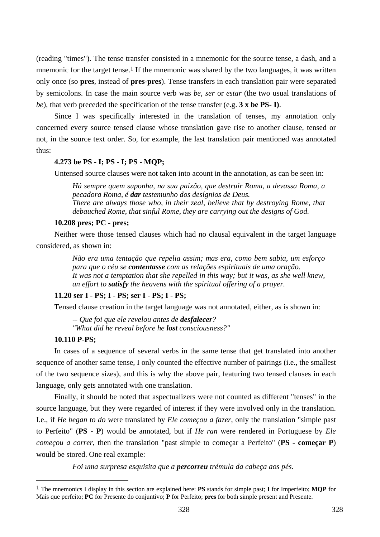(reading "times"). The tense transfer consisted in a mnemonic for the source tense, a dash, and a mnemonic for the target tense.<sup>1</sup> If the mnemonic was shared by the two languages, it was written only once (so **pres**, instead of **pres-pres**). Tense transfers in each translation pair were separated by semicolons. In case the main source verb was *be*, *ser* or *estar* (the two usual translations of *be*), that verb preceded the specification of the tense transfer (e.g. **3 x be PS- I)**.

Since I was specifically interested in the translation of tenses, my annotation only concerned every source tensed clause whose translation gave rise to another clause, tensed or not, in the source text order. So, for example, the last translation pair mentioned was annotated thus:

### **4.273 be PS - I; PS - I; PS - MQP;**

Untensed source clauses were not taken into acount in the annotation, as can be seen in:

*Há sempre quem suponha, na sua paixão, que destruir Roma, a devassa Roma, a pecadora Roma, é dar testemunho dos desígnios de Deus. There are always those who, in their zeal, believe that by destroying Rome, that debauched Rome, that sinful Rome, they are carrying out the designs of God.* 

### **10.208 pres; PC - pres;**

Neither were those tensed clauses which had no clausal equivalent in the target language considered, as shown in:

> *Não era uma tentação que repelia assim; mas era, como bem sabia, um esforço para que o céu se contentasse com as relações espirituais de uma oração. It was not a temptation that she repelled in this way; but it was, as she well knew, an effort to satisfy the heavens with the spiritual offering of a prayer.*

### **11.20 ser I - PS; I - PS; ser I - PS; I - PS;**

Tensed clause creation in the target language was not annotated, either, as is shown in:

*-- Que foi que ele revelou antes de desfalecer? "What did he reveal before he lost consciousness?"* 

### **10.110 P-PS;**

 $\overline{a}$ 

In cases of a sequence of several verbs in the same tense that get translated into another sequence of another same tense, I only counted the effective number of pairings (i.e., the smallest of the two sequence sizes), and this is why the above pair, featuring two tensed clauses in each language, only gets annotated with one translation.

Finally, it should be noted that aspectualizers were not counted as different "tenses" in the source language, but they were regarded of interest if they were involved only in the translation. I.e., if *He began to do* were translated by *Ele começou a fazer*, only the translation "simple past to Perfeito" (**PS - P**) would be annotated, but if *He ran* were rendered in Portuguese by *Ele começou a correr*, then the translation "past simple to começar a Perfeito" (**PS - começar P**) would be stored. One real example:

*Foi uma surpresa esquisita que a percorreu trémula da cabeça aos pés.* 

<sup>1</sup> The mnemonics I display in this section are explained here: **PS** stands for simple past; **I** for Imperfeito; **MQP** for Mais que perfeito; **PC** for Presente do conjuntivo; **P** for Perfeito; **pres** for both simple present and Presente.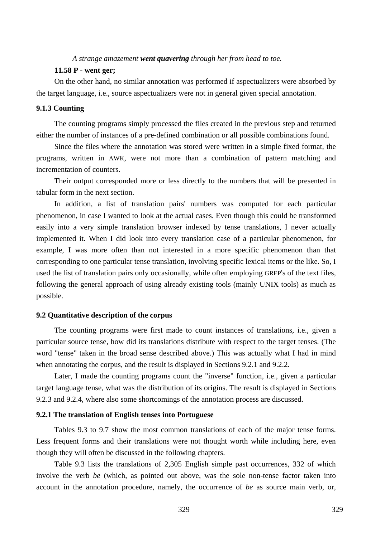*A strange amazement went quavering through her from head to toe.* 

### **11.58 P - went ger;**

On the other hand, no similar annotation was performed if aspectualizers were absorbed by the target language, i.e., source aspectualizers were not in general given special annotation.

# **9.1.3 Counting**

The counting programs simply processed the files created in the previous step and returned either the number of instances of a pre-defined combination or all possible combinations found.

Since the files where the annotation was stored were written in a simple fixed format, the programs, written in AWK, were not more than a combination of pattern matching and incrementation of counters.

Their output corresponded more or less directly to the numbers that will be presented in tabular form in the next section.

In addition, a list of translation pairs' numbers was computed for each particular phenomenon, in case I wanted to look at the actual cases. Even though this could be transformed easily into a very simple translation browser indexed by tense translations, I never actually implemented it. When I did look into every translation case of a particular phenomenon, for example, I was more often than not interested in a more specific phenomenon than that corresponding to one particular tense translation, involving specific lexical items or the like. So, I used the list of translation pairs only occasionally, while often employing GREP's of the text files, following the general approach of using already existing tools (mainly UNIX tools) as much as possible.

#### **9.2 Quantitative description of the corpus**

The counting programs were first made to count instances of translations, i.e., given a particular source tense, how did its translations distribute with respect to the target tenses. (The word "tense" taken in the broad sense described above.) This was actually what I had in mind when annotating the corpus, and the result is displayed in Sections 9.2.1 and 9.2.2.

Later, I made the counting programs count the "inverse" function, i.e., given a particular target language tense, what was the distribution of its origins. The result is displayed in Sections 9.2.3 and 9.2.4, where also some shortcomings of the annotation process are discussed.

#### **9.2.1 The translation of English tenses into Portuguese**

Tables 9.3 to 9.7 show the most common translations of each of the major tense forms. Less frequent forms and their translations were not thought worth while including here, even though they will often be discussed in the following chapters.

Table 9.3 lists the translations of 2,305 English simple past occurrences, 332 of which involve the verb *be* (which, as pointed out above, was the sole non-tense factor taken into account in the annotation procedure, namely, the occurrence of *be* as source main verb, or,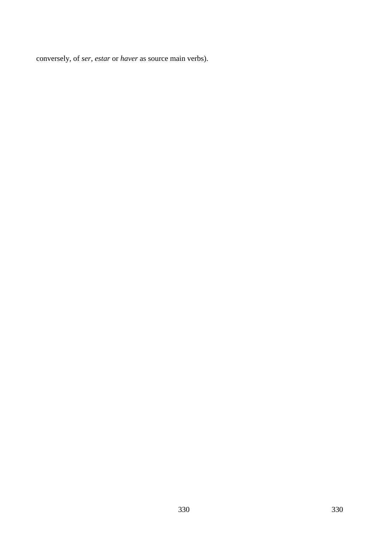conversely, of *ser*, *estar* or *haver* as source main verbs).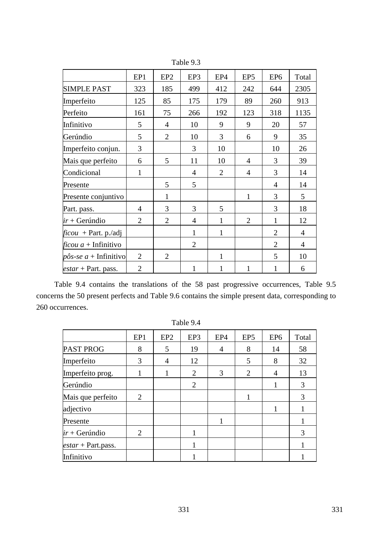|                                | EP1            | EP <sub>2</sub> | EP3            | EP4            | EP <sub>5</sub> | EP <sub>6</sub> | Total          |
|--------------------------------|----------------|-----------------|----------------|----------------|-----------------|-----------------|----------------|
| <b>SIMPLE PAST</b>             | 323            | 185             | 499            | 412            | 242             | 644             | 2305           |
| Imperfeito                     | 125            | 85              | 175            | 179            | 89              | 260             | 913            |
| Perfeito                       | 161            | 75              | 266            | 192            | 123             | 318             | 1135           |
| Infinitivo                     | 5              | $\overline{4}$  | 10             | 9              | 9               | 20              | 57             |
| Gerúndio                       | 5              | $\overline{2}$  | 10             | 3              | 6               | 9               | 35             |
| Imperfeito conjun.             | 3              |                 | 3              | 10             |                 | 10              | 26             |
| Mais que perfeito              | 6              | 5               | 11             | 10             | 4               | 3               | 39             |
| Condicional                    | $\mathbf{1}$   |                 | $\overline{4}$ | $\overline{2}$ | $\overline{4}$  | 3               | 14             |
| Presente                       |                | 5               | 5              |                |                 | $\overline{4}$  | 14             |
| Presente conjuntivo            |                | $\mathbf{1}$    |                |                | 1               | 3               | 5              |
| Part. pass.                    | $\overline{4}$ | 3               | 3              | 5              |                 | 3               | 18             |
| $ir + Gerúndio$                | $\overline{2}$ | $\overline{2}$  | $\overline{4}$ | $\mathbf{1}$   | $\overline{2}$  | $\mathbf{1}$    | 12             |
| $ficou + Part. p. /adj$        |                |                 | $\mathbf{1}$   | $\mathbf{1}$   |                 | $\overline{2}$  | $\overline{4}$ |
| <i>ficou a</i> + Infinitivo    |                |                 | $\overline{2}$ |                |                 | $\overline{2}$  | $\overline{4}$ |
| $p\hat{o}s$ -se a + Infinitivo | $\overline{2}$ | $\overline{2}$  |                | $\mathbf{1}$   |                 | 5               | 10             |
| <i>estar</i> + Part. pass.     | $\overline{2}$ |                 | 1              | 1              | 1               | 1               | 6              |

Table 9.3

Table 9.4 contains the translations of the 58 past progressive occurrences, Table 9.5 concerns the 50 present perfects and Table 9.6 contains the simple present data, corresponding to 260 occurrences.

|                      | EP1 | EP <sub>2</sub> | EP3            | EP4 | EP <sub>5</sub> | EP <sub>6</sub> | Total |
|----------------------|-----|-----------------|----------------|-----|-----------------|-----------------|-------|
| <b>PAST PROG</b>     | 8   | 5               | 19             | 4   | 8               | 14              | 58    |
| Imperfeito           | 3   | $\overline{4}$  | 12             |     | 5               | 8               | 32    |
| Imperfeito prog.     |     |                 | 2              | 3   | $\overline{2}$  | 4               | 13    |
| Gerúndio             |     |                 | $\overline{2}$ |     |                 | 1               | 3     |
| Mais que perfeito    | 2   |                 |                |     |                 |                 | 3     |
| adjectivo            |     |                 |                |     |                 |                 |       |
| Presente             |     |                 |                | 1   |                 |                 |       |
| $ir + Gerúndio$      | 2   |                 |                |     |                 |                 | 3     |
| $estar + Part.pass.$ |     |                 | 1              |     |                 |                 |       |
| Infinitivo           |     |                 |                |     |                 |                 |       |

Table 9.4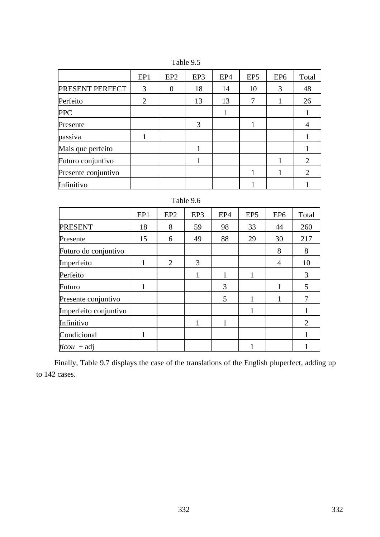|                        | EP1            | EP <sub>2</sub> | EP3 | EP4 | EP <sub>5</sub> | EP <sub>6</sub> | Total |
|------------------------|----------------|-----------------|-----|-----|-----------------|-----------------|-------|
| <b>PRESENT PERFECT</b> | 3              | 0               | 18  | 14  | 10              | 3               | 48    |
| Perfeito               | $\overline{2}$ |                 | 13  | 13  | 7               |                 | 26    |
| <b>PPC</b>             |                |                 |     |     |                 |                 |       |
| Presente               |                |                 | 3   |     |                 |                 | 4     |
| passiva                |                |                 |     |     |                 |                 |       |
| Mais que perfeito      |                |                 |     |     |                 |                 |       |
| Futuro conjuntivo      |                |                 |     |     |                 |                 | 2     |
| Presente conjuntivo    |                |                 |     |     |                 |                 | 2     |
| Infinitivo             |                |                 |     |     |                 |                 |       |

Table 9.5

# Table 9.6

|                       | EP1 | EP <sub>2</sub> | EP3 | EP4 | EP <sub>5</sub> | EP <sub>6</sub> | Total          |
|-----------------------|-----|-----------------|-----|-----|-----------------|-----------------|----------------|
| <b>PRESENT</b>        | 18  | 8               | 59  | 98  | 33              | 44              | 260            |
| Presente              | 15  | 6               | 49  | 88  | 29              | 30              | 217            |
| Futuro do conjuntivo  |     |                 |     |     |                 | 8               | 8              |
| Imperfeito            |     | $\overline{2}$  | 3   |     |                 | 4               | 10             |
| Perfeito              |     |                 | 1   |     | 1               |                 | 3              |
| Futuro                |     |                 |     | 3   |                 |                 | 5              |
| Presente conjuntivo   |     |                 |     | 5   |                 |                 | 7              |
| Imperfeito conjuntivo |     |                 |     |     |                 |                 |                |
| Infinitivo            |     |                 | 1   |     |                 |                 | $\overline{2}$ |
| Condicional           |     |                 |     |     |                 |                 | 1              |
| $ficou + adj$         |     |                 |     |     |                 |                 |                |

Finally, Table 9.7 displays the case of the translations of the English pluperfect, adding up to 142 cases.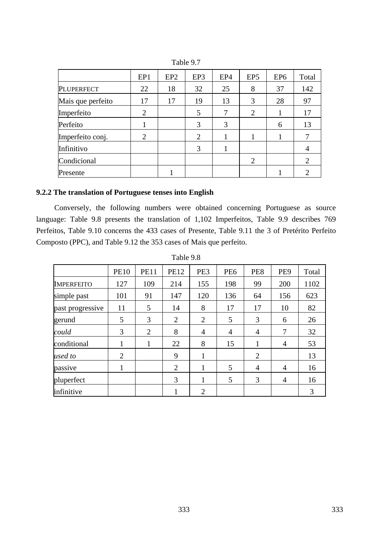|                   | EP1            | EP <sub>2</sub> | EP3 | EP4 | EP <sub>5</sub> | EP <sub>6</sub> | Total          |
|-------------------|----------------|-----------------|-----|-----|-----------------|-----------------|----------------|
| <b>PLUPERFECT</b> | 22             | 18              | 32  | 25  | 8               | 37              | 142            |
| Mais que perfeito | 17             | 17              | 19  | 13  | 3               | 28              | 97             |
| Imperfeito        | $\overline{2}$ |                 | 5   | 7   | $\overline{2}$  |                 | 17             |
| Perfeito          |                |                 | 3   | 3   |                 | 6               | 13             |
| Imperfeito conj.  | $\overline{2}$ |                 | 2   |     |                 |                 |                |
| Infinitivo        |                |                 | 3   |     |                 |                 | 4              |
| Condicional       |                |                 |     |     | $\overline{2}$  |                 | $\overline{2}$ |
| Presente          |                |                 |     |     |                 |                 |                |

Table 9.7

# **9.2.2 The translation of Portuguese tenses into English**

Conversely, the following numbers were obtained concerning Portuguese as source language: Table 9.8 presents the translation of 1,102 Imperfeitos, Table 9.9 describes 769 Perfeitos, Table 9.10 concerns the 433 cases of Presente, Table 9.11 the 3 of Pretérito Perfeito Composto (PPC), and Table 9.12 the 353 cases of Mais que perfeito.

|                   | <b>PE10</b>    | <b>PE11</b> | <b>PE12</b>    | PE3            | PE <sub>6</sub> | PE8            | PE <sub>9</sub> | Total |
|-------------------|----------------|-------------|----------------|----------------|-----------------|----------------|-----------------|-------|
| <b>IMPERFEITO</b> | 127            | 109         | 214            | 155            | 198             | 99             | 200             | 1102  |
| simple past       | 101            | 91          | 147            | 120            | 136             | 64             | 156             | 623   |
| past progressive  | 11             | 5           | 14             | 8              | 17              | 17             | 10              | 82    |
| gerund            | 5              | 3           | 2              | 2              | 5               | 3              | 6               | 26    |
| could             | 3              | 2           | 8              | $\overline{4}$ | $\overline{4}$  | 4              | 7               | 32    |
| conditional       | 1              | 1           | 22             | 8              | 15              | 1              | 4               | 53    |
| used to           | $\overline{2}$ |             | 9              | 1              |                 | $\overline{2}$ |                 | 13    |
| passive           | 1              |             | $\overline{2}$ | 1              | 5               | 4              | 4               | 16    |
| pluperfect        |                |             | 3              | 1              | 5               | 3              | $\overline{4}$  | 16    |
| infinitive        |                |             |                | $\overline{2}$ |                 |                |                 | 3     |

Table 9.8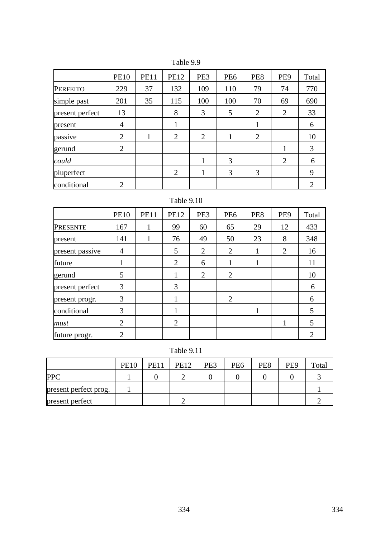|                 | <b>PE10</b>    | <b>PE11</b> | <b>PE12</b>    | PE3            | PE <sub>6</sub> | PE8            | PE <sub>9</sub> | Total          |
|-----------------|----------------|-------------|----------------|----------------|-----------------|----------------|-----------------|----------------|
| <b>PERFEITO</b> | 229            | 37          | 132            | 109            | 110             | 79             | 74              | 770            |
| simple past     | 201            | 35          | 115            | 100            | 100             | 70             | 69              | 690            |
| present perfect | 13             |             | 8              | 3              | 5               | 2              | $\overline{2}$  | 33             |
| present         | $\overline{4}$ |             |                |                |                 | 1              |                 | 6              |
| passive         | $\overline{2}$ |             | $\overline{2}$ | $\overline{2}$ | 1               | $\overline{2}$ |                 | 10             |
| gerund          | 2              |             |                |                |                 |                |                 | 3              |
| could           |                |             |                | 1              | 3               |                | $\overline{2}$  | 6              |
| pluperfect      |                |             | $\overline{2}$ | 1              | 3               | 3              |                 | 9              |
| conditional     | $\overline{2}$ |             |                |                |                 |                |                 | $\overline{2}$ |

Table 9.9

# Table 9.10

|                 | <b>PE10</b>    | <b>PE11</b> | <b>PE12</b>    | PE3 | PE <sub>6</sub> | PE8 | PE <sub>9</sub> | Total |
|-----------------|----------------|-------------|----------------|-----|-----------------|-----|-----------------|-------|
| <b>PRESENTE</b> | 167            |             | 99             | 60  | 65              | 29  | 12              | 433   |
| present         | 141            |             | 76             | 49  | 50              | 23  | 8               | 348   |
| present passive | 4              |             | 5              | 2   | $\overline{2}$  | 1   | 2               | 16    |
| future          |                |             | $\overline{2}$ | 6   | 1               | 1   |                 | 11    |
| gerund          | 5              |             |                | 2   | $\overline{2}$  |     |                 | 10    |
| present perfect | 3              |             | 3              |     |                 |     |                 | 6     |
| present progr.  | 3              |             | 1              |     | $\overline{2}$  |     |                 | 6     |
| conditional     | 3              |             |                |     |                 |     |                 | 5     |
| must            | $\overline{2}$ |             | $\overline{2}$ |     |                 |     |                 | 5     |
| future progr.   | $\overline{2}$ |             |                |     |                 |     |                 | 2     |

Table 9.11

|                       | <b>PE10</b> | <b>PE11</b> | <b>PE12</b> | PE3 | PE <sub>6</sub> | PE8 | PE <sub>9</sub> | Total |
|-----------------------|-------------|-------------|-------------|-----|-----------------|-----|-----------------|-------|
| <b>PPC</b>            |             |             |             |     |                 |     |                 |       |
| present perfect prog. |             |             |             |     |                 |     |                 |       |
| present perfect       |             |             |             |     |                 |     |                 |       |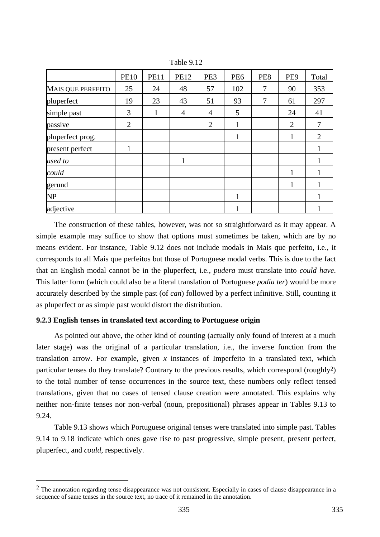|                          | <b>PE10</b>    | <b>PE11</b> | <b>PE12</b>    | PE3            | PE <sub>6</sub> | PE8 | PE <sub>9</sub> | Total |
|--------------------------|----------------|-------------|----------------|----------------|-----------------|-----|-----------------|-------|
| <b>MAIS QUE PERFEITO</b> | 25             | 24          | 48             | 57             | 102             | 7   | 90              | 353   |
| pluperfect               | 19             | 23          | 43             | 51             | 93              | 7   | 61              | 297   |
| simple past              | 3              | 1           | $\overline{4}$ | $\overline{4}$ | 5               |     | 24              | 41    |
| passive                  | $\overline{2}$ |             |                | $\overline{2}$ |                 |     | $\overline{2}$  |       |
| pluperfect prog.         |                |             |                |                |                 |     |                 | 2     |
| present perfect          |                |             |                |                |                 |     |                 |       |
| used to                  |                |             | 1              |                |                 |     |                 |       |
| could                    |                |             |                |                |                 |     | 1               |       |
| gerund                   |                |             |                |                |                 |     | $\mathbf{1}$    |       |
| <b>NP</b>                |                |             |                |                | 1               |     |                 |       |
| adjective                |                |             |                |                |                 |     |                 |       |

Table 9.12

The construction of these tables, however, was not so straightforward as it may appear. A simple example may suffice to show that options must sometimes be taken, which are by no means evident. For instance, Table 9.12 does not include modals in Mais que perfeito, i.e., it corresponds to all Mais que perfeitos but those of Portuguese modal verbs. This is due to the fact that an English modal cannot be in the pluperfect, i.e., *pudera* must translate into *could have*. This latter form (which could also be a literal translation of Portuguese *podia ter*) would be more accurately described by the simple past (of *can*) followed by a perfect infinitive. Still, counting it as pluperfect or as simple past would distort the distribution.

### **9.2.3 English tenses in translated text according to Portuguese origin**

 $\overline{a}$ 

As pointed out above, the other kind of counting (actually only found of interest at a much later stage) was the original of a particular translation, i.e., the inverse function from the translation arrow. For example, given *x* instances of Imperfeito in a translated text, which particular tenses do they translate? Contrary to the previous results, which correspond (roughly2) to the total number of tense occurrences in the source text, these numbers only reflect tensed translations, given that no cases of tensed clause creation were annotated. This explains why neither non-finite tenses nor non-verbal (noun, prepositional) phrases appear in Tables 9.13 to 9.24.

Table 9.13 shows which Portuguese original tenses were translated into simple past. Tables 9.14 to 9.18 indicate which ones gave rise to past progressive, simple present, present perfect, pluperfect, and *could*, respectively.

<sup>&</sup>lt;sup>2</sup> The annotation regarding tense disappearance was not consistent. Especially in cases of clause disappearance in a sequence of same tenses in the source text, no trace of it remained in the annotation.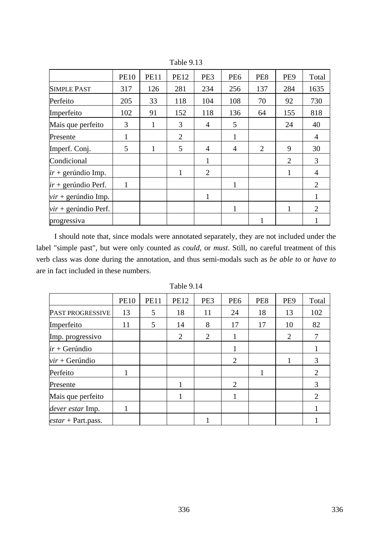|                        | <b>PE10</b>  | <b>PE11</b> | <b>PE12</b>    | PE3            | PE <sub>6</sub> | PE8 | PE <sub>9</sub> | Total                       |
|------------------------|--------------|-------------|----------------|----------------|-----------------|-----|-----------------|-----------------------------|
| <b>SIMPLE PAST</b>     | 317          | 126         | 281            | 234            | 256             | 137 | 284             | 1635                        |
| Perfeito               | 205          | 33          | 118            | 104            | 108             | 70  | 92              | 730                         |
| Imperfeito             | 102          | 91          | 152            | 118            | 136             | 64  | 155             | 818                         |
| Mais que perfeito      | 3            | 1           | 3              | $\overline{4}$ | 5               |     | 24              | 40                          |
| Presente               | 1            |             | $\overline{2}$ |                | 1               |     |                 | 4                           |
| Imperf. Conj.          | 5            | 1           | 5              | $\overline{4}$ | $\overline{4}$  | 2   | 9               | 30                          |
| Condicional            |              |             |                | $\mathbf{1}$   |                 |     | 2               | 3                           |
| $ir + gerúndio Imp.$   |              |             | 1              | $\overline{2}$ |                 |     | 1               | 4                           |
| $ir + gerúndio$ Perf.  | $\mathbf{1}$ |             |                |                | 1               |     |                 | 2                           |
| $vir +$ gerúndio Imp.  |              |             |                | 1              |                 |     |                 |                             |
| $vir +$ gerúndio Perf. |              |             |                |                | 1               |     |                 | $\mathcal{D}_{\mathcal{L}}$ |
| progressiva            |              |             |                |                |                 | 1   |                 |                             |

Table 9.13

I should note that, since modals were annotated separately, they are not included under the label "simple past", but were only counted as *could*, or *must*. Still, no careful treatment of this verb class was done during the annotation, and thus semi-modals such as *be able to* or *have to* are in fact included in these numbers.

Table 9.14

|                           | <b>PE10</b> | <b>PE11</b> | <b>PE12</b> | PE3 | PE <sub>6</sub> | PE8 | PE <sub>9</sub> | Total |
|---------------------------|-------------|-------------|-------------|-----|-----------------|-----|-----------------|-------|
| PAST PROGRESSIVE          | 13          | 5           | 18          | 11  | 24              | 18  | 13              | 102   |
| Imperfeito                | 11          | 5           | 14          | 8   | 17              | 17  | 10              | 82    |
| Imp. progressivo          |             |             | 2           | 2   |                 |     | 2               |       |
| $ir + Gerúndio$           |             |             |             |     |                 |     |                 |       |
| $vir + Gerúndio$          |             |             |             |     | 2               |     |                 | 3     |
| Perfeito                  | 1           |             |             |     |                 |     |                 | 2     |
| Presente                  |             |             |             |     | 2               |     |                 | 3     |
| Mais que perfeito         |             |             |             |     |                 |     |                 | 2     |
| dever estar Imp.          |             |             |             |     |                 |     |                 |       |
| <i>estar</i> + Part.pass. |             |             |             |     |                 |     |                 |       |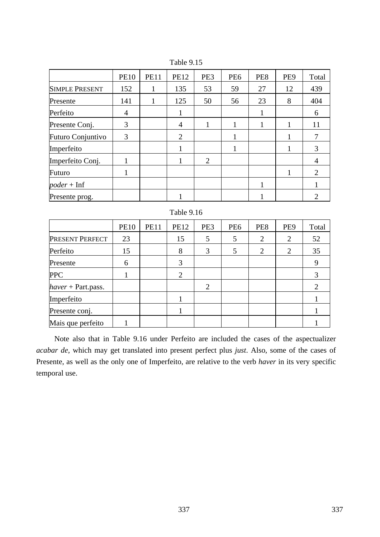|                          | <b>PE10</b>    | <b>PE11</b> | <b>PE12</b> | PE3            | PE <sub>6</sub> | PE8 | PE <sub>9</sub> | Total          |
|--------------------------|----------------|-------------|-------------|----------------|-----------------|-----|-----------------|----------------|
| <b>SIMPLE PRESENT</b>    | 152            | 1           | 135         | 53             | 59              | 27  | 12              | 439            |
| Presente                 | 141            | 1           | 125         | 50             | 56              | 23  | 8               | 404            |
| Perfeito                 | $\overline{4}$ |             |             |                |                 |     |                 | 6              |
| Presente Conj.           | 3              |             | 4           | 1              |                 |     | 1               | 11             |
| <b>Futuro Conjuntivo</b> | 3              |             | 2           |                |                 |     |                 |                |
| Imperfeito               |                |             |             |                |                 |     |                 | 3              |
| Imperfeito Conj.         | 1              |             |             | $\overline{2}$ |                 |     |                 | $\overline{4}$ |
| Futuro                   | 1              |             |             |                |                 |     | 1               | 2              |
| $poder + Inf$            |                |             |             |                |                 | 1   |                 |                |
| Presente prog.           |                |             |             |                |                 |     |                 | ∍              |

Table 9.15

| Table 9.16           |             |             |             |     |                 |                |                 |                       |  |
|----------------------|-------------|-------------|-------------|-----|-----------------|----------------|-----------------|-----------------------|--|
|                      | <b>PE10</b> | <b>PE11</b> | <b>PE12</b> | PE3 | PE <sub>6</sub> | PE8            | PE <sub>9</sub> | Total                 |  |
| PRESENT PERFECT      | 23          |             | 15          | 5   | 5               | $\overline{2}$ | 2               | 52                    |  |
| Perfeito             | 15          |             | 8           | 3   | 5               | $\overline{2}$ | 2               | 35                    |  |
| Presente             | 6           |             | 3           |     |                 |                |                 | 9                     |  |
| <b>PPC</b>           |             |             | 2           |     |                 |                |                 | 3                     |  |
| $haver + Part.pass.$ |             |             |             | 2   |                 |                |                 | $\mathcal{D}_{\cdot}$ |  |
| Imperfeito           |             |             |             |     |                 |                |                 |                       |  |
| Presente conj.       |             |             |             |     |                 |                |                 |                       |  |
| Mais que perfeito    |             |             |             |     |                 |                |                 |                       |  |

Note also that in Table 9.16 under Perfeito are included the cases of the aspectualizer *acabar de*, which may get translated into present perfect plus *just*. Also, some of the cases of Presente, as well as the only one of Imperfeito, are relative to the verb *haver* in its very specific temporal use.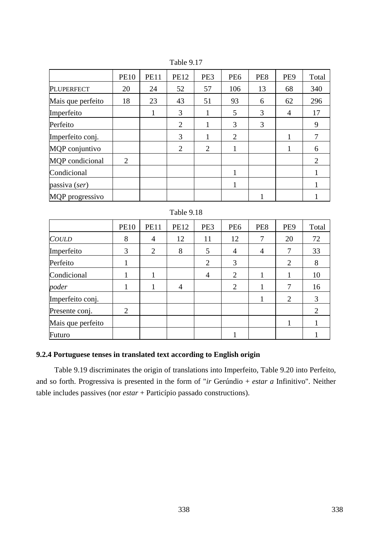|                   | <b>PE10</b>                 | <b>PE11</b> | <b>PE12</b> | PE3            | PE <sub>6</sub> | PE8 | PE <sub>9</sub> | Total |
|-------------------|-----------------------------|-------------|-------------|----------------|-----------------|-----|-----------------|-------|
| <b>PLUPERFECT</b> | 20                          | 24          | 52          | 57             | 106             | 13  | 68              | 340   |
| Mais que perfeito | 18                          | 23          | 43          | 51             | 93              | 6   | 62              | 296   |
| Imperfeito        |                             | 1           | 3           |                | 5               | 3   | $\overline{4}$  | 17    |
| Perfeito          |                             |             | 2           | 1              | 3               | 3   |                 | 9     |
| Imperfeito conj.  |                             |             | 3           |                | 2               |     | 1               |       |
| MQP conjuntivo    |                             |             | 2           | $\overline{2}$ | 1               |     |                 | 6     |
| MQP condicional   | $\mathcal{D}_{\mathcal{L}}$ |             |             |                |                 |     |                 | 2     |
| Condicional       |                             |             |             |                | J.              |     |                 |       |
| passiva (ser)     |                             |             |             |                |                 |     |                 |       |
| MQP progressivo   |                             |             |             |                |                 |     |                 |       |

Table 9.17

|            | <b>PE10</b> | <b>PE11</b> | <b>PE12</b> | PE3 | PE <sub>6</sub> | PE8 | PE <sub>9</sub> | Total |
|------------|-------------|-------------|-------------|-----|-----------------|-----|-----------------|-------|
| COULD      |             |             |             |     | 1 ຕ             |     | ∠∪              | רי    |
| Imperfeito |             |             |             |     |                 |     |                 | ر ر   |
|            |             |             |             |     |                 |     |                 |       |

Perfeito | 1 | | | | 2 | 3 | | 2 | 8 Condicional 1 1 4 2 1 1 10 *poder* 1 1 1 4 2 1 7 16 Imperfeito conj.  $\begin{vmatrix} 1 & 1 & 1 \\ 1 & 2 & 3 \end{vmatrix}$ Presente conj. 2 2 Mais que perfeito | | | | | | | | | | | | | 1 Futuro | | | | | | 1 | | 1

Table 9.18

# **9.2.4 Portuguese tenses in translated text according to English origin**

Table 9.19 discriminates the origin of translations into Imperfeito, Table 9.20 into Perfeito, and so forth. Progressiva is presented in the form of "*ir* Gerúndio + *estar a* Infinitivo". Neither table includes passives (nor *estar* + Particípio passado constructions).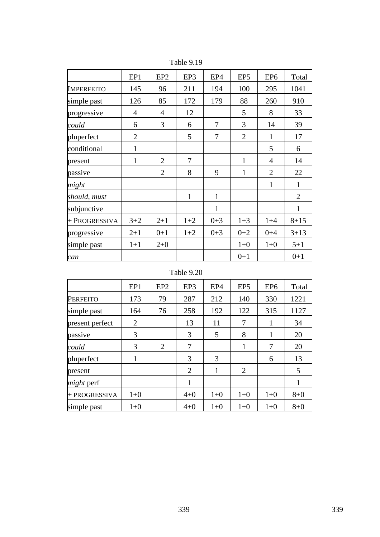|                   | EP1            | EP <sub>2</sub> | EP3            | EP4          | EP <sub>5</sub> | EP <sub>6</sub> | Total          |
|-------------------|----------------|-----------------|----------------|--------------|-----------------|-----------------|----------------|
| <b>IMPERFEITO</b> | 145            | 96              | 211            | 194          | 100             | 295             | 1041           |
| simple past       | 126            | 85              | 172            | 179          | 88              | 260             | 910            |
| progressive       | $\overline{4}$ | 4               | 12             |              | 5               | 8               | 33             |
| could             | 6              | 3               | 6              | 7            | 3               | 14              | 39             |
| pluperfect        | $\overline{2}$ |                 | 5              | 7            | $\overline{2}$  | 1               | 17             |
| conditional       | $\mathbf{1}$   |                 |                |              |                 | 5               | 6              |
| present           | $\mathbf{1}$   | $\overline{2}$  | $\overline{7}$ |              | $\mathbf{1}$    | $\overline{4}$  | 14             |
| passive           |                | $\overline{2}$  | 8              | 9            | $\mathbf{1}$    | $\overline{2}$  | 22             |
| might             |                |                 |                |              |                 | $\mathbf{1}$    | $\mathbf{1}$   |
| should, must      |                |                 | 1              | $\mathbf{1}$ |                 |                 | $\overline{2}$ |
| subjunctive       |                |                 |                | $\mathbf{1}$ |                 |                 | 1              |
| + PROGRESSIVA     | $3 + 2$        | $2 + 1$         | $1+2$          | $0 + 3$      | $1+3$           | $1+4$           | $8 + 15$       |
| progressive       | $2 + 1$        | $0+1$           | $1+2$          | $0 + 3$      | $0 + 2$         | $0 + 4$         | $3 + 13$       |
| simple past       | $1+1$          | $2+0$           |                |              | $1 + 0$         | $1+0$           | $5 + 1$        |
| can               |                |                 |                |              | $0+1$           |                 | $0+1$          |

Table 9.19

# Table 9.20

|                   | EP1   | EP <sub>2</sub>             | EP3            | EP <sub>4</sub> | EP <sub>5</sub> | EP <sub>6</sub> | Total   |
|-------------------|-------|-----------------------------|----------------|-----------------|-----------------|-----------------|---------|
| <b>PERFEITO</b>   | 173   | 79                          | 287            | 212             | 140             | 330             | 1221    |
| simple past       | 164   | 76                          | 258            | 192             | 122             | 315             | 1127    |
| present perfect   | 2     |                             | 13             | 11              | 7               | 1               | 34      |
| passive           | 3     |                             | 3              | 5               | 8               | 1               | 20      |
| could             | 3     | $\mathcal{D}_{\mathcal{L}}$ | 7              |                 | 1               | 7               | 20      |
| pluperfect        | 1     |                             | 3              | 3               |                 | 6               | 13      |
| present           |       |                             | $\overline{2}$ | 1               | 2               |                 | 5       |
| <i>might</i> perf |       |                             | 1              |                 |                 |                 | 1       |
| + PROGRESSIVA     | $1+0$ |                             | $4 + 0$        | $1+0$           | $1+0$           | $1+0$           | $8 + 0$ |
| simple past       | $1+0$ |                             | $4 + 0$        | $1+0$           | $1+0$           | $1+0$           | $8 + 0$ |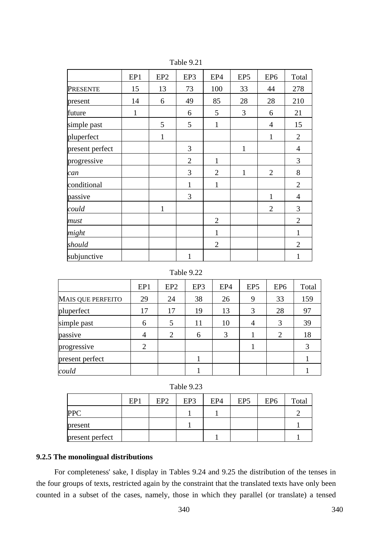|                 | EP1          | EP <sub>2</sub> | EP3            | EP4            | EP <sub>5</sub> | EP <sub>6</sub> | Total          |
|-----------------|--------------|-----------------|----------------|----------------|-----------------|-----------------|----------------|
| PRESENTE        | 15           | 13              | 73             | 100            | 33              | 44              | 278            |
| present         | 14           | 6               | 49             | 85             | 28              | 28              | 210            |
| future          | $\mathbf{1}$ |                 | 6              | 5              | 3               | 6               | 21             |
| simple past     |              | 5               | 5              | $\mathbf{1}$   |                 | $\overline{4}$  | 15             |
| pluperfect      |              | 1               |                |                |                 | 1               | $\overline{2}$ |
| present perfect |              |                 | 3              |                | $\mathbf{1}$    |                 | $\overline{4}$ |
| progressive     |              |                 | $\overline{2}$ | $\mathbf{1}$   |                 |                 | 3              |
| can             |              |                 | 3              | $\overline{2}$ | 1               | $\overline{2}$  | 8              |
| conditional     |              |                 | $\mathbf{1}$   | $\mathbf{1}$   |                 |                 | $\overline{2}$ |
| passive         |              |                 | 3              |                |                 | $\mathbf{1}$    | $\overline{4}$ |
| could           |              | $\mathbf{1}$    |                |                |                 | $\overline{2}$  | 3              |
| must            |              |                 |                | $\overline{2}$ |                 |                 | $\overline{2}$ |
| might           |              |                 |                | $\mathbf{1}$   |                 |                 | $\mathbf{1}$   |
| should          |              |                 |                | $\overline{2}$ |                 |                 | $\overline{2}$ |
| subjunctive     |              |                 | 1              |                |                 |                 | 1              |

Table 9.21

### Table 9.22

|                          | EP1            | EP <sub>2</sub> | EP3 | EP4 | EP <sub>5</sub> | EP <sub>6</sub> | Total |
|--------------------------|----------------|-----------------|-----|-----|-----------------|-----------------|-------|
| <b>MAIS QUE PERFEITO</b> | 29             | 24              | 38  | 26  | 9               | 33              | 159   |
| pluperfect               | 17             | 17              | 19  | 13  | 3               | 28              | 97    |
| simple past              | 6              | 5               | 11  | 10  |                 | 3               | 39    |
| passive                  | $\overline{4}$ | 2               | 6   | 3   |                 | 2               | 18    |
| progressive              | 2              |                 |     |     |                 |                 | 3     |
| present perfect          |                |                 |     |     |                 |                 |       |
| could                    |                |                 |     |     |                 |                 |       |

Table 9.23

|                 | EP1 | EP <sub>2</sub> | EP3 | EP4 | EP <sub>5</sub> | EP <sub>6</sub> | Total |
|-----------------|-----|-----------------|-----|-----|-----------------|-----------------|-------|
| <b>PPC</b>      |     |                 |     |     |                 |                 |       |
| present         |     |                 |     |     |                 |                 |       |
| present perfect |     |                 |     |     |                 |                 |       |

# **9.2.5 The monolingual distributions**

For completeness' sake, I display in Tables 9.24 and 9.25 the distribution of the tenses in the four groups of texts, restricted again by the constraint that the translated texts have only been counted in a subset of the cases, namely, those in which they parallel (or translate) a tensed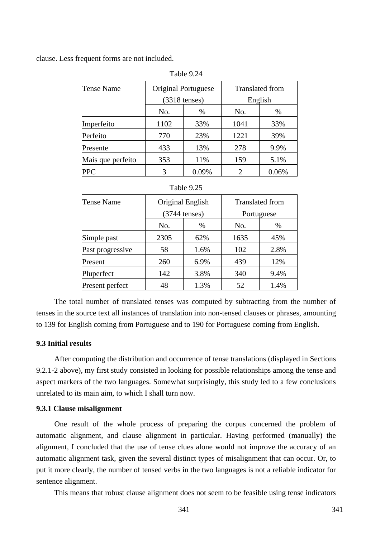clause. Less frequent forms are not included.

| Tense Name        |                         | Original Portuguese | <b>Translated from</b> |         |  |
|-------------------|-------------------------|---------------------|------------------------|---------|--|
|                   | $(3318 \text{ tenses})$ |                     |                        | English |  |
|                   | No.                     | $\%$                | No.                    | %       |  |
| Imperfeito        | 1102                    | 33%                 | 1041                   | 33%     |  |
| Perfeito          | 770                     | 23%                 | 1221                   | 39%     |  |
| Presente          | 433                     | 13%                 | 278                    | 9.9%    |  |
| Mais que perfeito | 353                     | 11%                 | 159                    | 5.1%    |  |
| <b>PPC</b>        | 3                       | 0.09%               | $\overline{c}$         | 0.06%   |  |

Table 9.24

| Table 9.25 |  |  |
|------------|--|--|
|            |  |  |

| <b>Tense Name</b> | Original English |      | <b>Translated from</b> |      |
|-------------------|------------------|------|------------------------|------|
|                   | $(3744$ tenses)  |      | Portuguese             |      |
|                   | No.              | %    | No.                    | %    |
| Simple past       | 2305             | 62%  | 1635                   | 45%  |
| Past progressive  | 58               | 1.6% | 102                    | 2.8% |
| Present           | 260              | 6.9% | 439                    | 12%  |
| Pluperfect        | 142              | 3.8% | 340                    | 9.4% |
| Present perfect   | 48               | 1.3% | 52                     | 1.4% |

The total number of translated tenses was computed by subtracting from the number of tenses in the source text all instances of translation into non-tensed clauses or phrases, amounting to 139 for English coming from Portuguese and to 190 for Portuguese coming from English.

### **9.3 Initial results**

After computing the distribution and occurrence of tense translations (displayed in Sections 9.2.1-2 above), my first study consisted in looking for possible relationships among the tense and aspect markers of the two languages. Somewhat surprisingly, this study led to a few conclusions unrelated to its main aim, to which I shall turn now.

### **9.3.1 Clause misalignment**

One result of the whole process of preparing the corpus concerned the problem of automatic alignment, and clause alignment in particular. Having performed (manually) the alignment, I concluded that the use of tense clues alone would not improve the accuracy of an automatic alignment task, given the several distinct types of misalignment that can occur. Or, to put it more clearly, the number of tensed verbs in the two languages is not a reliable indicator for sentence alignment.

This means that robust clause alignment does not seem to be feasible using tense indicators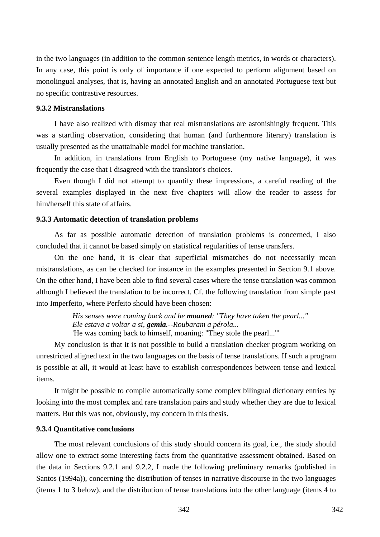in the two languages (in addition to the common sentence length metrics, in words or characters). In any case, this point is only of importance if one expected to perform alignment based on monolingual analyses, that is, having an annotated English and an annotated Portuguese text but no specific contrastive resources.

# **9.3.2 Mistranslations**

I have also realized with dismay that real mistranslations are astonishingly frequent. This was a startling observation, considering that human (and furthermore literary) translation is usually presented as the unattainable model for machine translation.

In addition, in translations from English to Portuguese (my native language), it was frequently the case that I disagreed with the translator's choices.

Even though I did not attempt to quantify these impressions, a careful reading of the several examples displayed in the next five chapters will allow the reader to assess for him/herself this state of affairs.

### **9.3.3 Automatic detection of translation problems**

As far as possible automatic detection of translation problems is concerned, I also concluded that it cannot be based simply on statistical regularities of tense transfers.

On the one hand, it is clear that superficial mismatches do not necessarily mean mistranslations, as can be checked for instance in the examples presented in Section 9.1 above. On the other hand, I have been able to find several cases where the tense translation was common although I believed the translation to be incorrect. Cf. the following translation from simple past into Imperfeito, where Perfeito should have been chosen:

> *His senses were coming back and he moaned: "They have taken the pearl..." Ele estava a voltar a si, gemia.--Roubaram a pérola...*  'He was coming back to himself, moaning: "They stole the pearl..."'

My conclusion is that it is not possible to build a translation checker program working on unrestricted aligned text in the two languages on the basis of tense translations. If such a program is possible at all, it would at least have to establish correspondences between tense and lexical items.

It might be possible to compile automatically some complex bilingual dictionary entries by looking into the most complex and rare translation pairs and study whether they are due to lexical matters. But this was not, obviously, my concern in this thesis.

### **9.3.4 Quantitative conclusions**

The most relevant conclusions of this study should concern its goal, i.e., the study should allow one to extract some interesting facts from the quantitative assessment obtained. Based on the data in Sections 9.2.1 and 9.2.2, I made the following preliminary remarks (published in Santos (1994a)), concerning the distribution of tenses in narrative discourse in the two languages (items 1 to 3 below), and the distribution of tense translations into the other language (items 4 to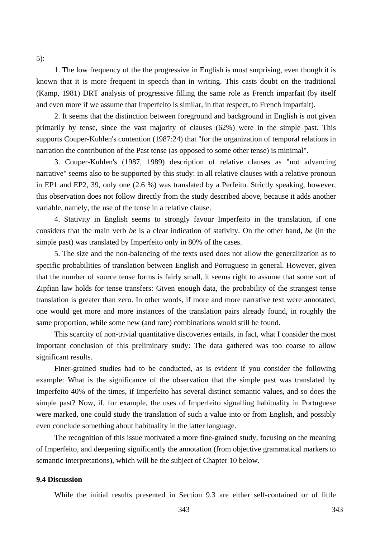5):

1. The low frequency of the the progressive in English is most surprising, even though it is known that it is more frequent in speech than in writing. This casts doubt on the traditional (Kamp, 1981) DRT analysis of progressive filling the same role as French imparfait (by itself and even more if we assume that Imperfeito is similar, in that respect, to French imparfait).

2. It seems that the distinction between foreground and background in English is not given primarily by tense, since the vast majority of clauses (62%) were in the simple past. This supports Couper-Kuhlen's contention (1987:24) that "for the organization of temporal relations in narration the contribution of the Past tense (as opposed to some other tense) is minimal".

3. Couper-Kuhlen's (1987, 1989) description of relative clauses as "not advancing narrative" seems also to be supported by this study: in all relative clauses with a relative pronoun in EP1 and EP2, 39, only one (2.6 %) was translated by a Perfeito. Strictly speaking, however, this observation does not follow directly from the study described above, because it adds another variable, namely, the use of the tense in a relative clause.

4. Stativity in English seems to strongly favour Imperfeito in the translation, if one considers that the main verb *be* is a clear indication of stativity. On the other hand, *be* (in the simple past) was translated by Imperfeito only in 80% of the cases.

5. The size and the non-balancing of the texts used does not allow the generalization as to specific probabilities of translation between English and Portuguese in general. However, given that the number of source tense forms is fairly small, it seems right to assume that some sort of Zipfian law holds for tense transfers: Given enough data, the probability of the strangest tense translation is greater than zero. In other words, if more and more narrative text were annotated, one would get more and more instances of the translation pairs already found, in roughly the same proportion, while some new (and rare) combinations would still be found.

This scarcity of non-trivial quantitative discoveries entails, in fact, what I consider the most important conclusion of this preliminary study: The data gathered was too coarse to allow significant results.

Finer-grained studies had to be conducted, as is evident if you consider the following example: What is the significance of the observation that the simple past was translated by Imperfeito 40% of the times, if Imperfeito has several distinct semantic values, and so does the simple past? Now, if, for example, the uses of Imperfeito signalling habituality in Portuguese were marked, one could study the translation of such a value into or from English, and possibly even conclude something about habituality in the latter language.

The recognition of this issue motivated a more fine-grained study, focusing on the meaning of Imperfeito, and deepening significantly the annotation (from objective grammatical markers to semantic interpretations), which will be the subject of Chapter 10 below.

#### **9.4 Discussion**

While the initial results presented in Section 9.3 are either self-contained or of little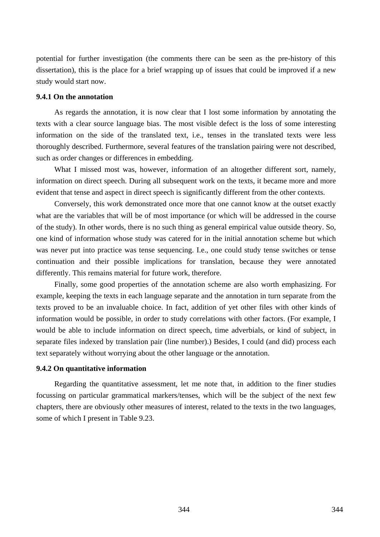potential for further investigation (the comments there can be seen as the pre-history of this dissertation), this is the place for a brief wrapping up of issues that could be improved if a new study would start now.

### **9.4.1 On the annotation**

As regards the annotation, it is now clear that I lost some information by annotating the texts with a clear source language bias. The most visible defect is the loss of some interesting information on the side of the translated text, i.e., tenses in the translated texts were less thoroughly described. Furthermore, several features of the translation pairing were not described, such as order changes or differences in embedding.

What I missed most was, however, information of an altogether different sort, namely, information on direct speech. During all subsequent work on the texts, it became more and more evident that tense and aspect in direct speech is significantly different from the other contexts.

Conversely, this work demonstrated once more that one cannot know at the outset exactly what are the variables that will be of most importance (or which will be addressed in the course of the study). In other words, there is no such thing as general empirical value outside theory. So, one kind of information whose study was catered for in the initial annotation scheme but which was never put into practice was tense sequencing. I.e., one could study tense switches or tense continuation and their possible implications for translation, because they were annotated differently. This remains material for future work, therefore.

Finally, some good properties of the annotation scheme are also worth emphasizing. For example, keeping the texts in each language separate and the annotation in turn separate from the texts proved to be an invaluable choice. In fact, addition of yet other files with other kinds of information would be possible, in order to study correlations with other factors. (For example, I would be able to include information on direct speech, time adverbials, or kind of subject, in separate files indexed by translation pair (line number).) Besides, I could (and did) process each text separately without worrying about the other language or the annotation.

# **9.4.2 On quantitative information**

Regarding the quantitative assessment, let me note that, in addition to the finer studies focussing on particular grammatical markers/tenses, which will be the subject of the next few chapters, there are obviously other measures of interest, related to the texts in the two languages, some of which I present in Table 9.23.